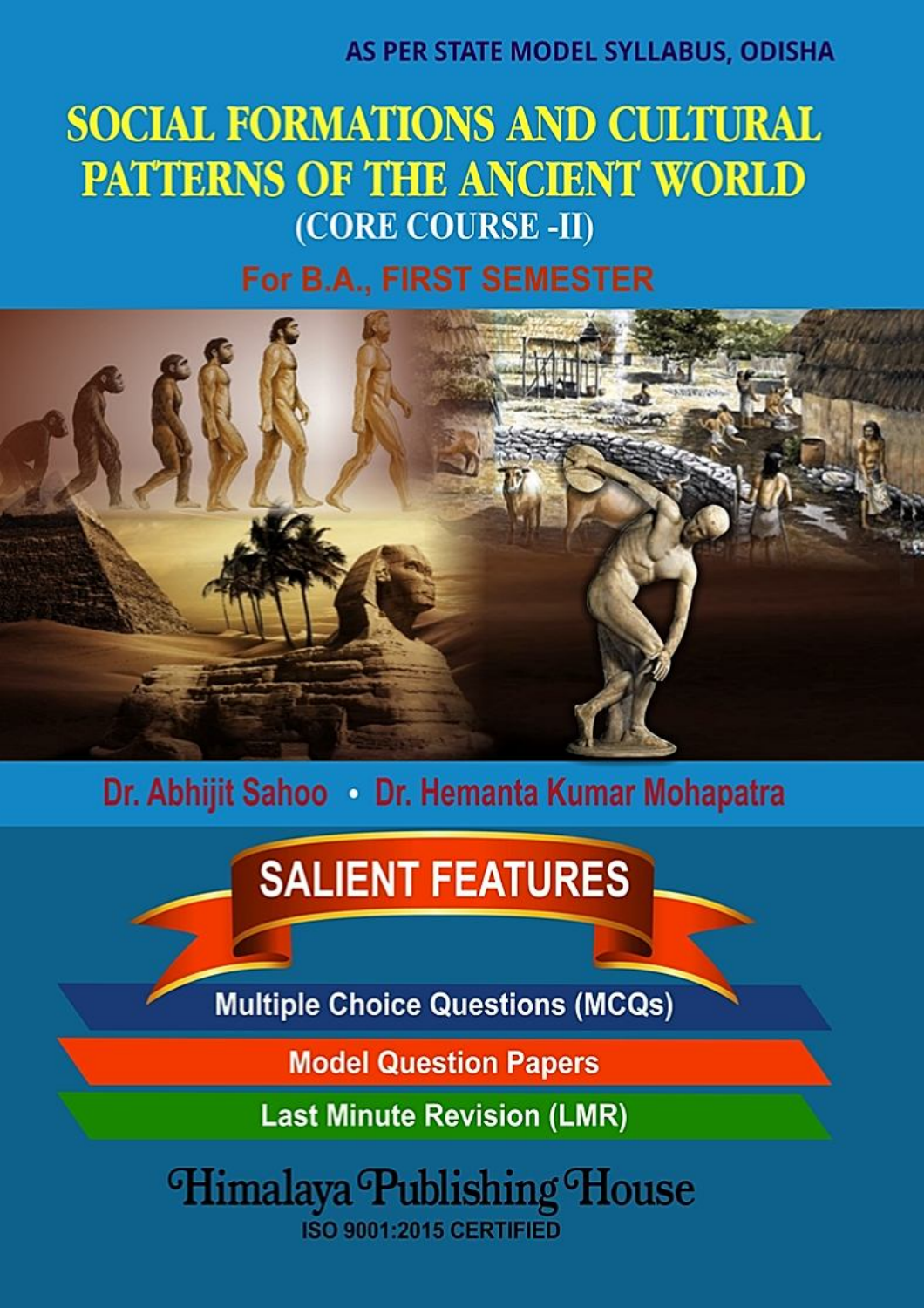# AS PER STATE MODEL SYLLABUS, ODISHA

# **SOCIAL FORMATIONS AND CULTURAL PATTERNS OF THE ANCIENT WORLD** (CORE COURSE -II)

# For B.A., FIRST SEMESTER



Dr. Abhijit Sahoo . Dr. Hemanta Kumar Mohapatra

# **SALIENT FEATURES**

**Multiple Choice Questions (MCQs)** 

**Model Question Papers** 

**Last Minute Revision (LMR)** 

Himalaya Publishing House **ISO 9001:2015 CERTIFIED**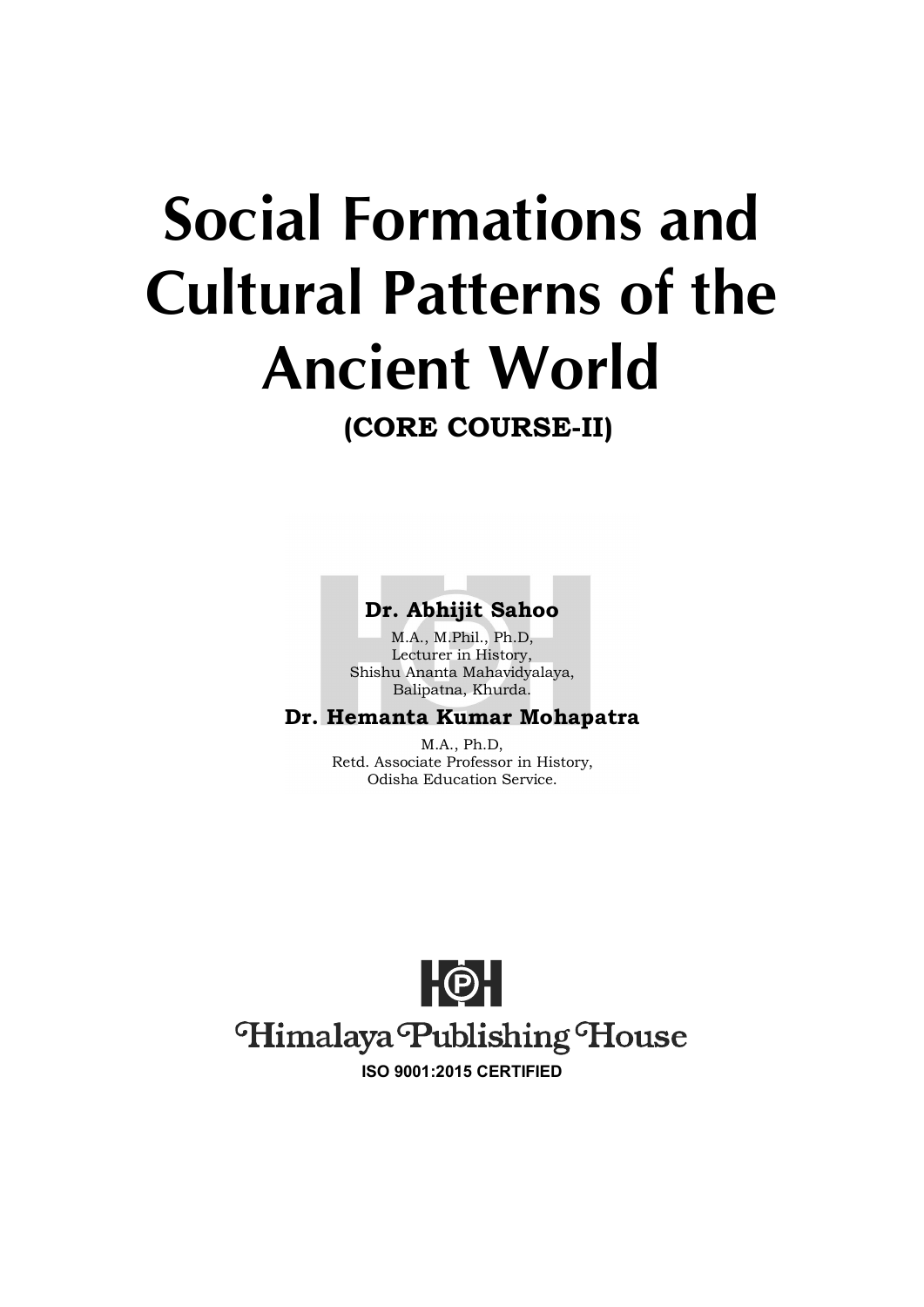# **Social Formations and Cultural Patterns of the Ancient World**

**(CORE COURSE-II)**

# **Dr. Abhijit Sahoo**

M.A., M.Phil., Ph.D, Lecturer in History, Shishu Ananta Mahavidyalaya, Balipatna, Khurda.

# **Dr. Hemanta Kumar Mohapatra**

M.A., Ph.D, Retd. Associate Professor in History, Odisha Education Service.

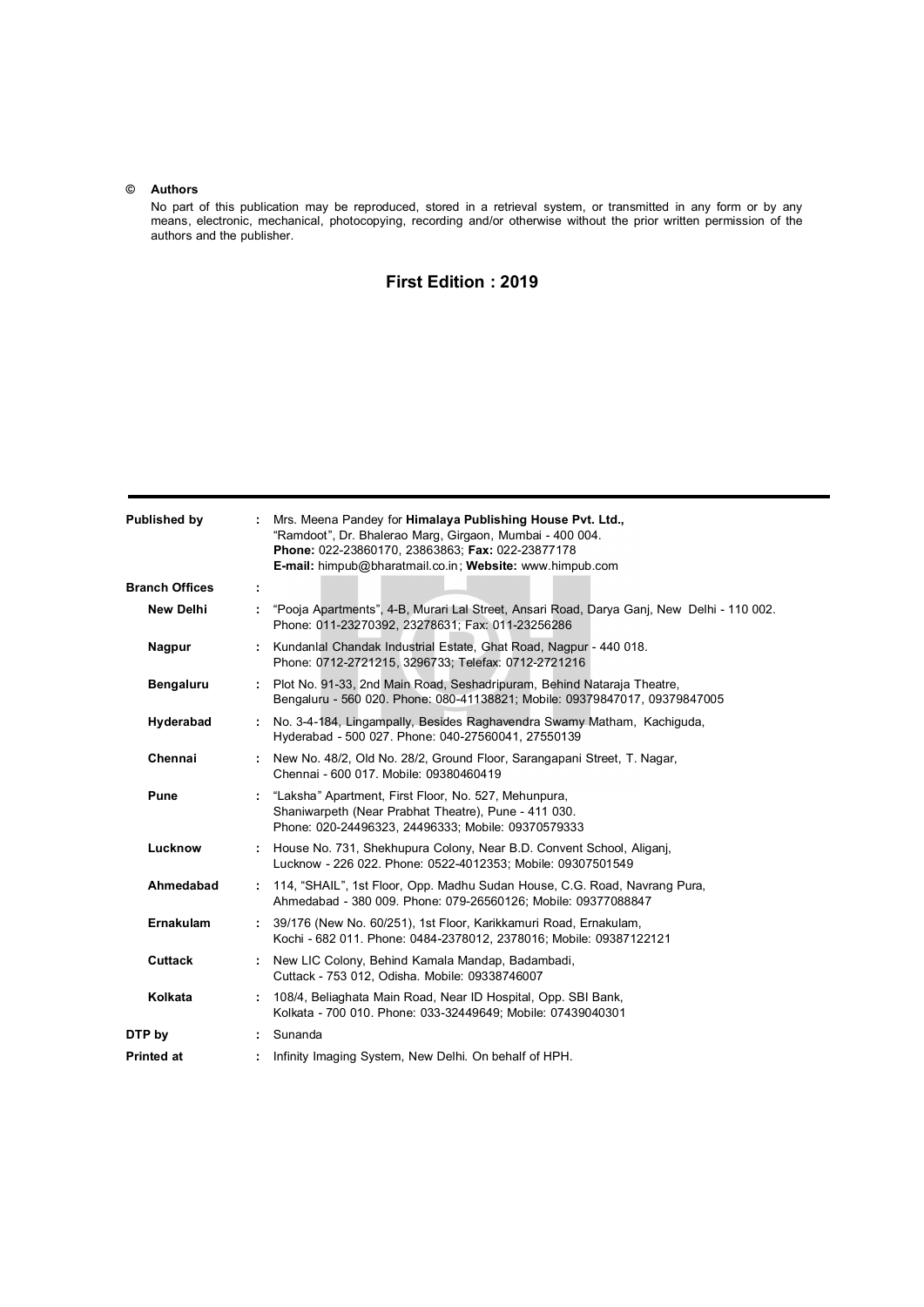#### **© Authors**

No part of this publication may be reproduced, stored in a retrieval system, or transmitted in any form or by any means, electronic, mechanical, photocopying, recording and/or otherwise without the prior written permission of the authors and the publisher.

### **First Edition : 2019**

| Published by          | : Mrs. Meena Pandey for Himalaya Publishing House Pvt. Ltd.,<br>"Ramdoot", Dr. Bhalerao Marg, Girgaon, Mumbai - 400 004.<br>Phone: 022-23860170, 23863863; Fax: 022-23877178<br>E-mail: himpub@bharatmail.co.in; Website: www.himpub.com |  |
|-----------------------|------------------------------------------------------------------------------------------------------------------------------------------------------------------------------------------------------------------------------------------|--|
| <b>Branch Offices</b> | ÷                                                                                                                                                                                                                                        |  |
| <b>New Delhi</b>      | "Pooja Apartments", 4-B, Murari Lal Street, Ansari Road, Darya Ganj, New Delhi - 110 002.<br>Phone: 011-23270392, 23278631; Fax: 011-23256286                                                                                            |  |
| Nagpur                | : Kundanlal Chandak Industrial Estate, Ghat Road, Nagpur - 440 018.<br>Phone: 0712-2721215, 3296733; Telefax: 0712-2721216                                                                                                               |  |
| <b>Bengaluru</b>      | : Plot No. 91-33, 2nd Main Road, Seshadripuram, Behind Nataraja Theatre,<br>Bengaluru - 560 020. Phone: 080-41138821; Mobile: 09379847017, 09379847005                                                                                   |  |
| Hyderabad             | : No. 3-4-184, Lingampally, Besides Raghavendra Swamy Matham, Kachiguda,<br>Hyderabad - 500 027. Phone: 040-27560041, 27550139                                                                                                           |  |
| Chennai               | : New No. 48/2, Old No. 28/2, Ground Floor, Sarangapani Street, T. Nagar,<br>Chennai - 600 017. Mobile: 09380460419                                                                                                                      |  |
| Pune                  | : "Laksha" Apartment, First Floor, No. 527, Mehunpura,<br>Shaniwarpeth (Near Prabhat Theatre), Pune - 411 030.<br>Phone: 020-24496323, 24496333; Mobile: 09370579333                                                                     |  |
| Lucknow               | : House No. 731, Shekhupura Colony, Near B.D. Convent School, Aligani,<br>Lucknow - 226 022. Phone: 0522-4012353; Mobile: 09307501549                                                                                                    |  |
| Ahmedabad             | : 114, "SHAIL", 1st Floor, Opp. Madhu Sudan House, C.G. Road, Navrang Pura,<br>Ahmedabad - 380 009. Phone: 079-26560126; Mobile: 09377088847                                                                                             |  |
| <b>Ernakulam</b>      | : 39/176 (New No. 60/251), 1st Floor, Karikkamuri Road, Ernakulam,<br>Kochi - 682 011. Phone: 0484-2378012, 2378016; Mobile: 09387122121                                                                                                 |  |
| <b>Cuttack</b>        | : New LIC Colony, Behind Kamala Mandap, Badambadi,<br>Cuttack - 753 012, Odisha. Mobile: 09338746007                                                                                                                                     |  |
| Kolkata               | 108/4, Beliaghata Main Road, Near ID Hospital, Opp. SBI Bank,<br>Kolkata - 700 010. Phone: 033-32449649; Mobile: 07439040301                                                                                                             |  |
| DTP by                | Sunanda<br>$\mathbf{L}$                                                                                                                                                                                                                  |  |
| <b>Printed at</b>     | Infinity Imaging System, New Delhi. On behalf of HPH.<br>÷.                                                                                                                                                                              |  |
|                       |                                                                                                                                                                                                                                          |  |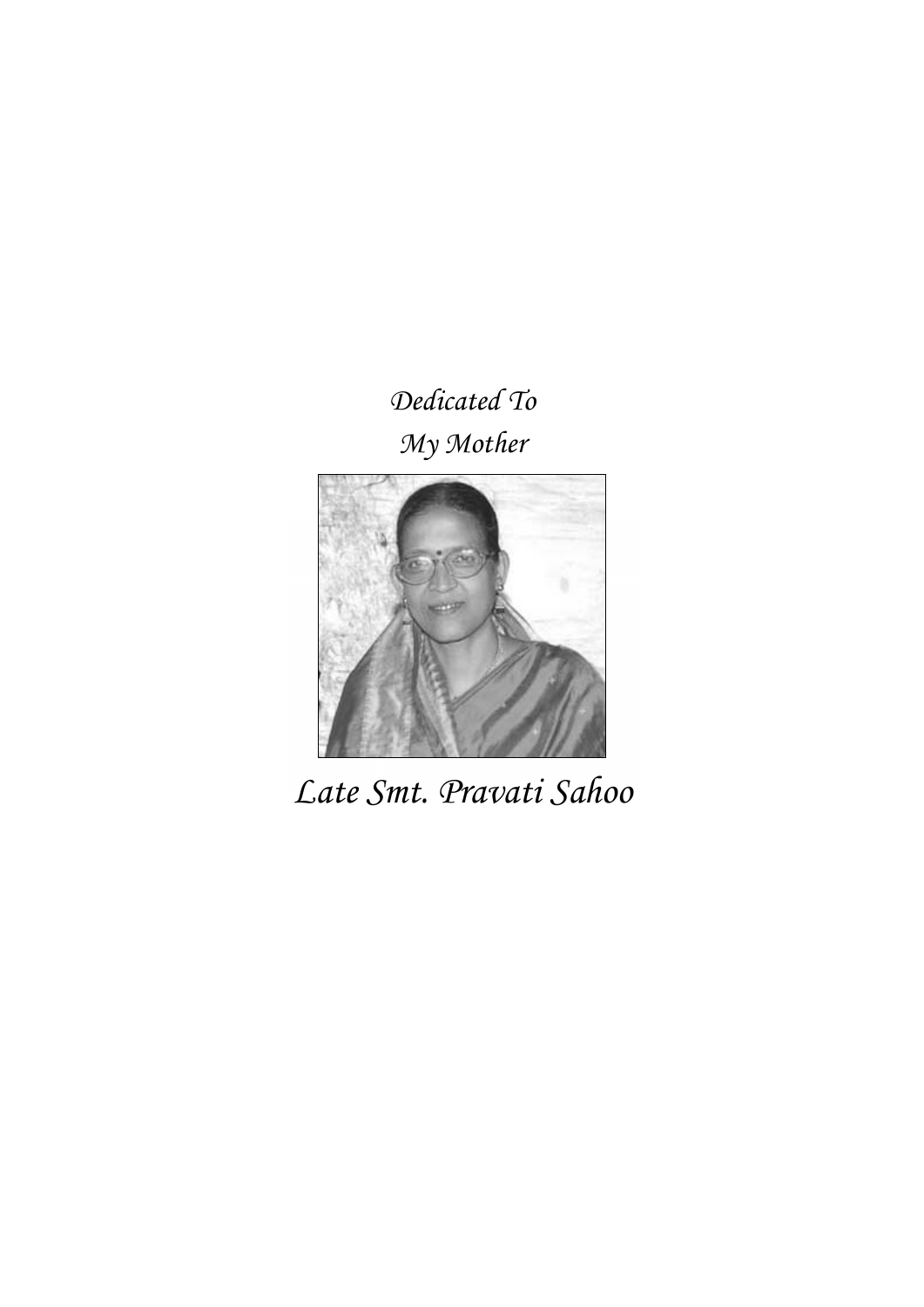# *Dedicated To My Mother*



*Late Smt. Pravati Sahoo*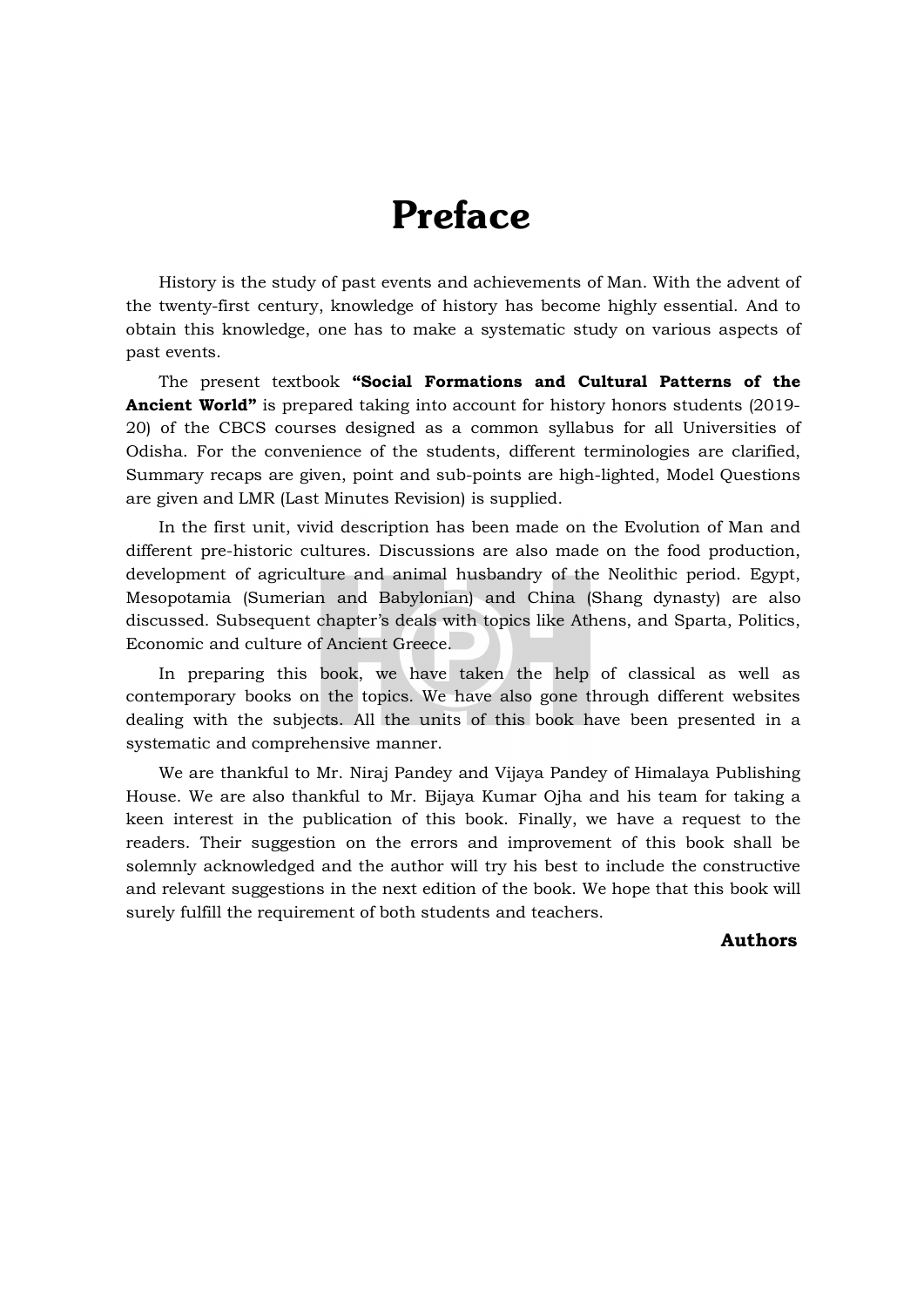# Preface

History is the study of past events and achievements of Man. With the advent of the twenty-first century, knowledge of history has become highly essential. And to obtain this knowledge, one has to make a systematic study on various aspects of past events.

The present textbook **"Social Formations and Cultural Patterns of the Ancient World"** is prepared taking into account for history honors students (2019- 20) of the CBCS courses designed as a common syllabus for all Universities of Odisha. For the convenience of the students, different terminologies are clarified, Summary recaps are given, point and sub-points are high-lighted, Model Questions are given and LMR (Last Minutes Revision) is supplied.

In the first unit, vivid description has been made on the Evolution of Man and different pre-historic cultures. Discussions are also made on the food production, development of agriculture and animal husbandry of the Neolithic period. Egypt, Mesopotamia (Sumerian and Babylonian) and China (Shang dynasty) are also discussed. Subsequent chapter's deals with topics like Athens, and Sparta, Politics, Economic and culture of Ancient Greece.

In preparing this book, we have taken the help of classical as well as contemporary books on the topics. We have also gone through different websites dealing with the subjects. All the units of this book have been presented in a systematic and comprehensive manner.

We are thankful to Mr. Niraj Pandey and Vijaya Pandey of Himalaya Publishing House. We are also thankful to Mr. Bijaya Kumar Ojha and his team for taking a keen interest in the publication of this book. Finally, we have a request to the readers. Their suggestion on the errors and improvement of this book shall be solemnly acknowledged and the author will try his best to include the constructive and relevant suggestions in the next edition of the book. We hope that this book will surely fulfill the requirement of both students and teachers.

#### **Authors**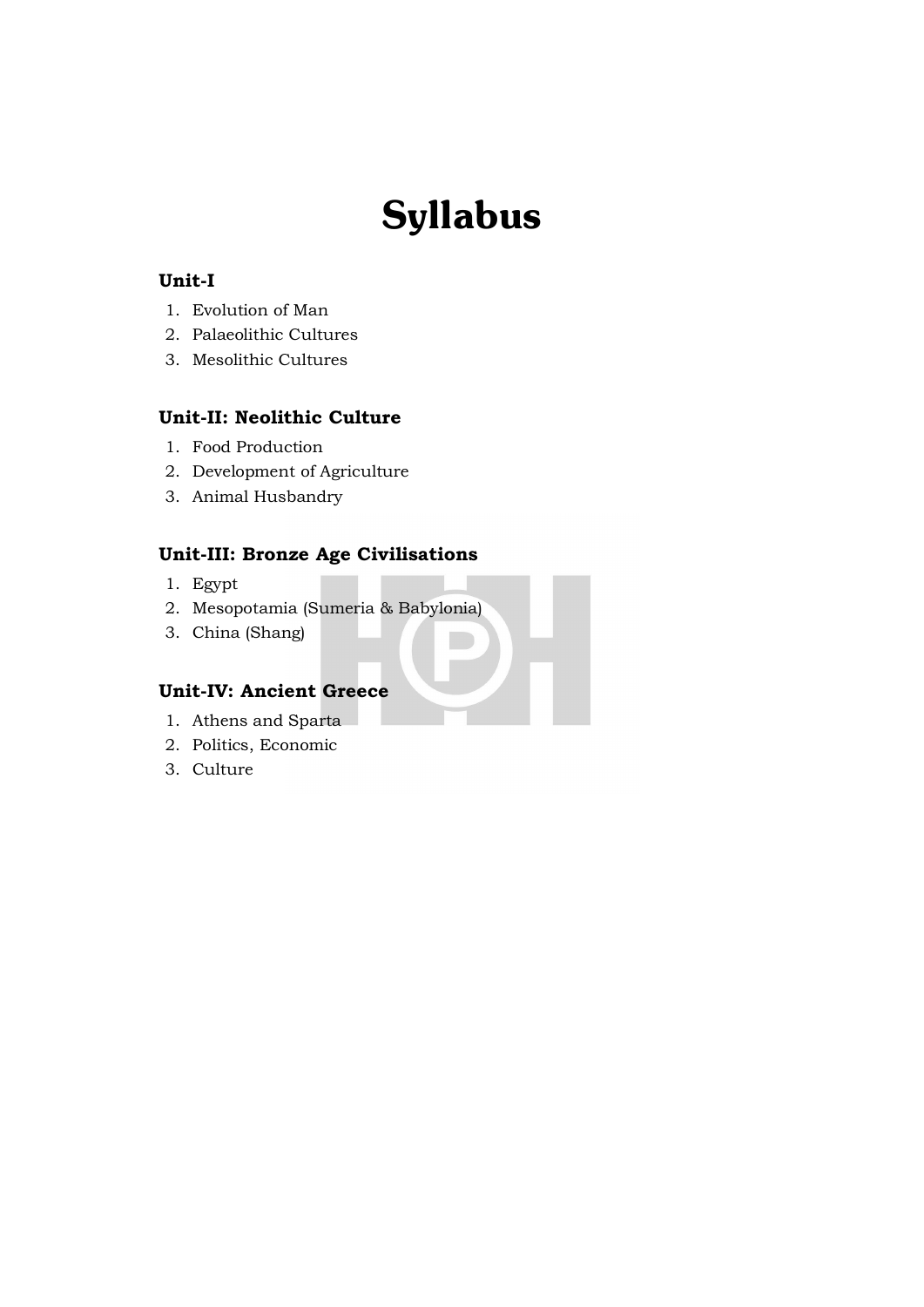# Syllabus

### **Unit-I**

- 1. Evolution of Man
- 2. Palaeolithic Cultures
- 3. Mesolithic Cultures

### **Unit-II: Neolithic Culture**

- 1. Food Production
- 2. Development of Agriculture
- 3. Animal Husbandry

# **Unit-III: Bronze Age Civilisations**

- 1. Egypt
- 2. Mesopotamia (Sumeria & Babylonia)
- 3. China (Shang)

### **Unit-IV: Ancient Greece**

- 1. Athens and Sparta
- 2. Politics, Economic
- 3. Culture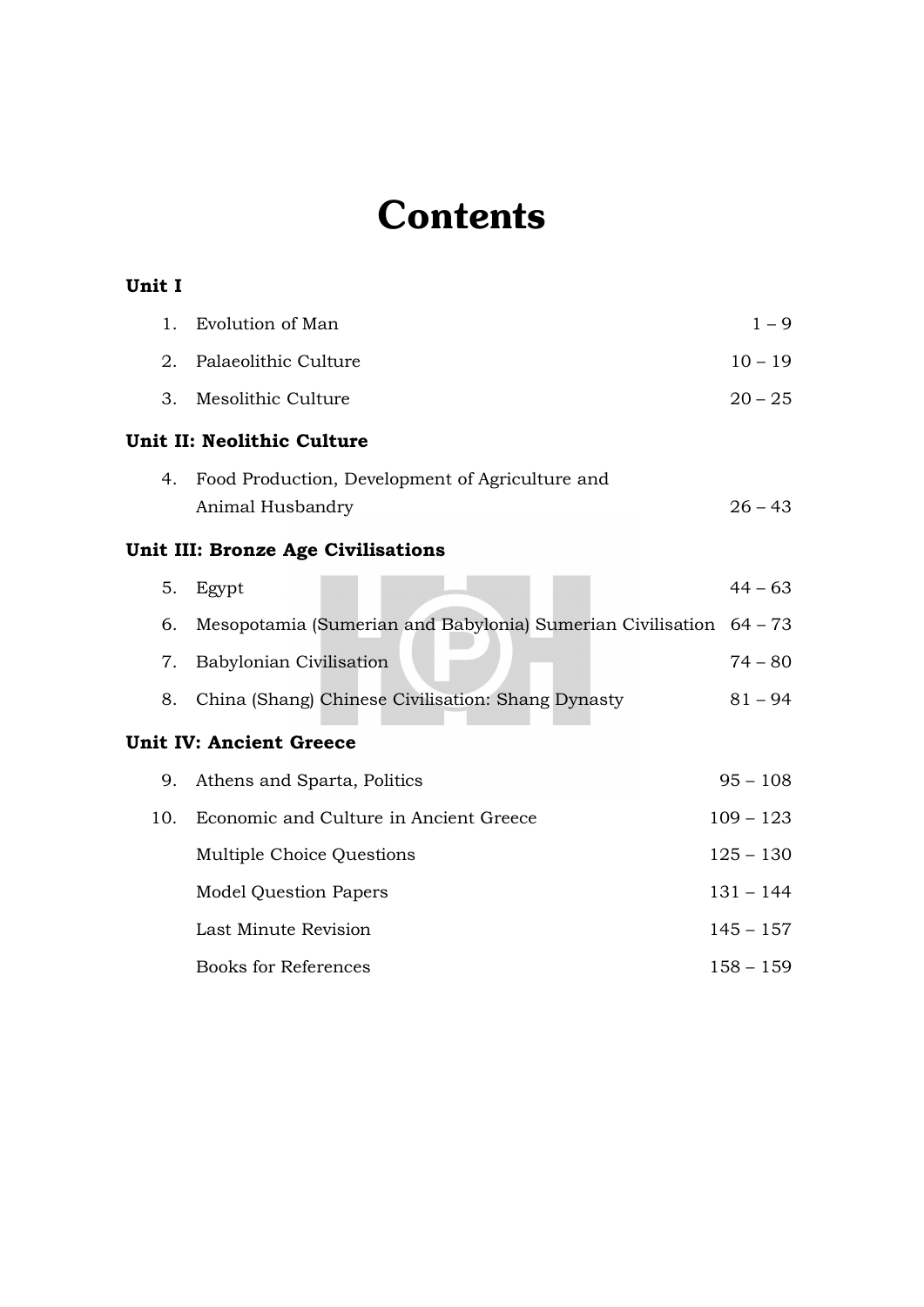# **Contents**

**Unit I**

| 1.                                        | Evolution of Man                                                   | $1 - 9$     |  |  |
|-------------------------------------------|--------------------------------------------------------------------|-------------|--|--|
| 2.                                        | Palaeolithic Culture                                               | $10 - 19$   |  |  |
| 3.                                        | Mesolithic Culture                                                 | $20 - 25$   |  |  |
| Unit II: Neolithic Culture                |                                                                    |             |  |  |
| 4.                                        | Food Production, Development of Agriculture and                    |             |  |  |
|                                           | Animal Husbandry                                                   | $26 - 43$   |  |  |
| <b>Unit III: Bronze Age Civilisations</b> |                                                                    |             |  |  |
| 5.                                        | Egypt                                                              | $44 - 63$   |  |  |
| 6.                                        | Mesopotamia (Sumerian and Babylonia) Sumerian Civilisation 64 - 73 |             |  |  |
| 7.                                        | Babylonian Civilisation                                            | $74 - 80$   |  |  |
| 8.                                        | China (Shang) Chinese Civilisation: Shang Dynasty                  | $81 - 94$   |  |  |
| <b>Unit IV: Ancient Greece</b>            |                                                                    |             |  |  |
| 9.                                        | Athens and Sparta, Politics                                        | $95 - 108$  |  |  |
| 10.                                       | Economic and Culture in Ancient Greece                             | $109 - 123$ |  |  |
|                                           | Multiple Choice Questions                                          | $125 - 130$ |  |  |
|                                           | <b>Model Question Papers</b>                                       | $131 - 144$ |  |  |
|                                           | Last Minute Revision                                               | $145 - 157$ |  |  |
|                                           | <b>Books for References</b>                                        | $158 - 159$ |  |  |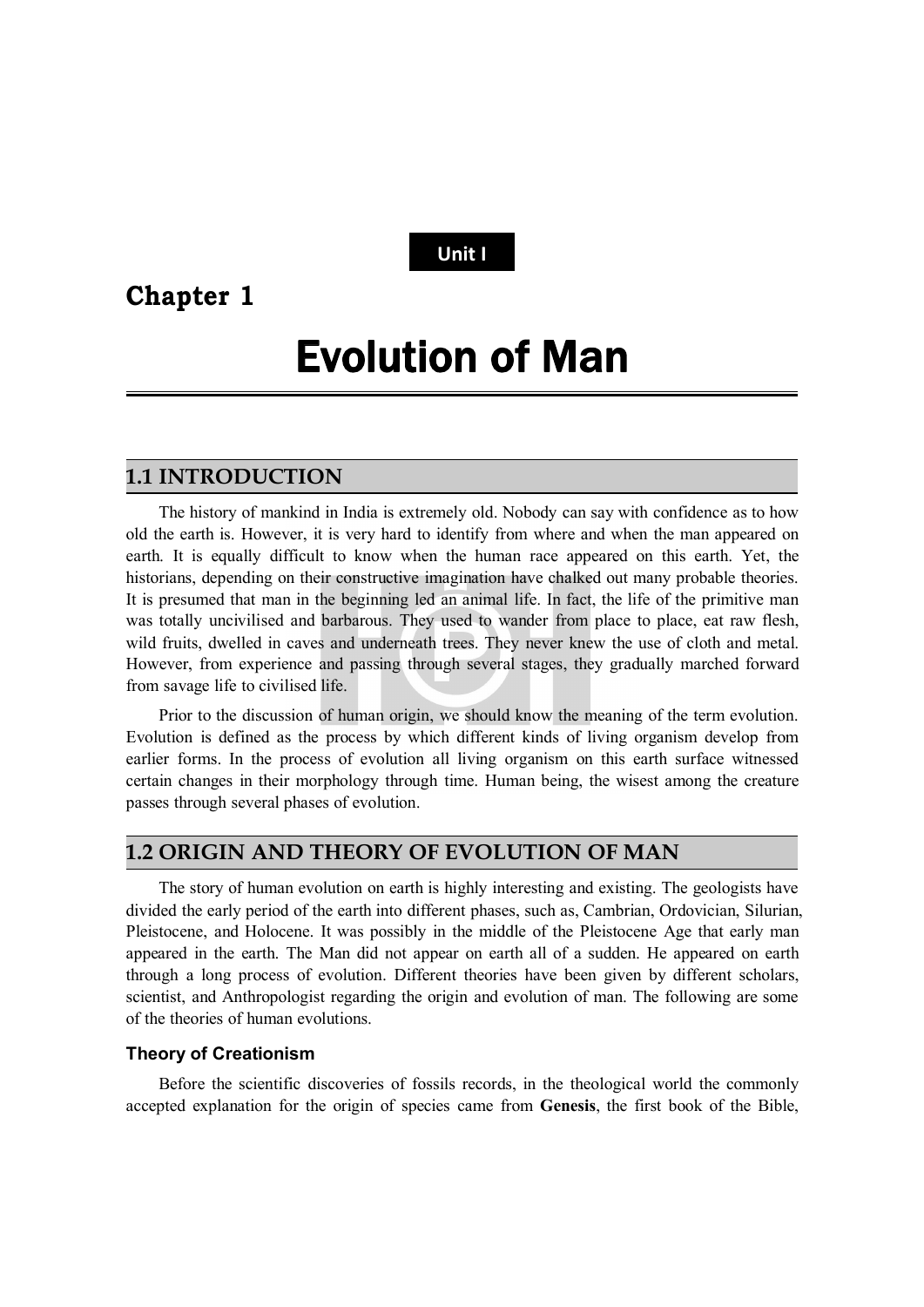# **Unit I**

# **Chapter 1**

# Evolution of Man

## **1.1 INTRODUCTION**

The history of mankind in India is extremely old. Nobody can say with confidence as to how old the earth is. However, it is very hard to identify from where and when the man appeared on earth. It is equally difficult to know when the human race appeared on this earth. Yet, the historians, depending on their constructive imagination have chalked out many probable theories. It is presumed that man in the beginning led an animal life. In fact, the life of the primitive man was totally uncivilised and barbarous. They used to wander from place to place, eat raw flesh, wild fruits, dwelled in caves and underneath trees. They never knew the use of cloth and metal. However, from experience and passing through several stages, they gradually marched forward from savage life to civilised life.

Prior to the discussion of human origin, we should know the meaning of the term evolution. Evolution is defined as the process by which different kinds of living organism develop from earlier forms. In the process of evolution all living organism on this earth surface witnessed certain changes in their morphology through time. Human being, the wisest among the creature passes through several phases of evolution.

### **1.2 ORIGIN AND THEORY OF EVOLUTION OF MAN**

The story of human evolution on earth is highly interesting and existing. The geologists have divided the early period of the earth into different phases, such as, Cambrian, Ordovician, Silurian, Pleistocene, and Holocene. It was possibly in the middle of the Pleistocene Age that early man appeared in the earth. The Man did not appear on earth all of a sudden. He appeared on earth through a long process of evolution. Different theories have been given by different scholars, scientist, and Anthropologist regarding the origin and evolution of man. The following are some of the theories of human evolutions.

#### **Theory of Creationism**

Before the scientific discoveries of fossils records, in the theological world the commonly accepted explanation for the origin of species came from **Genesis**, the first book of the Bible,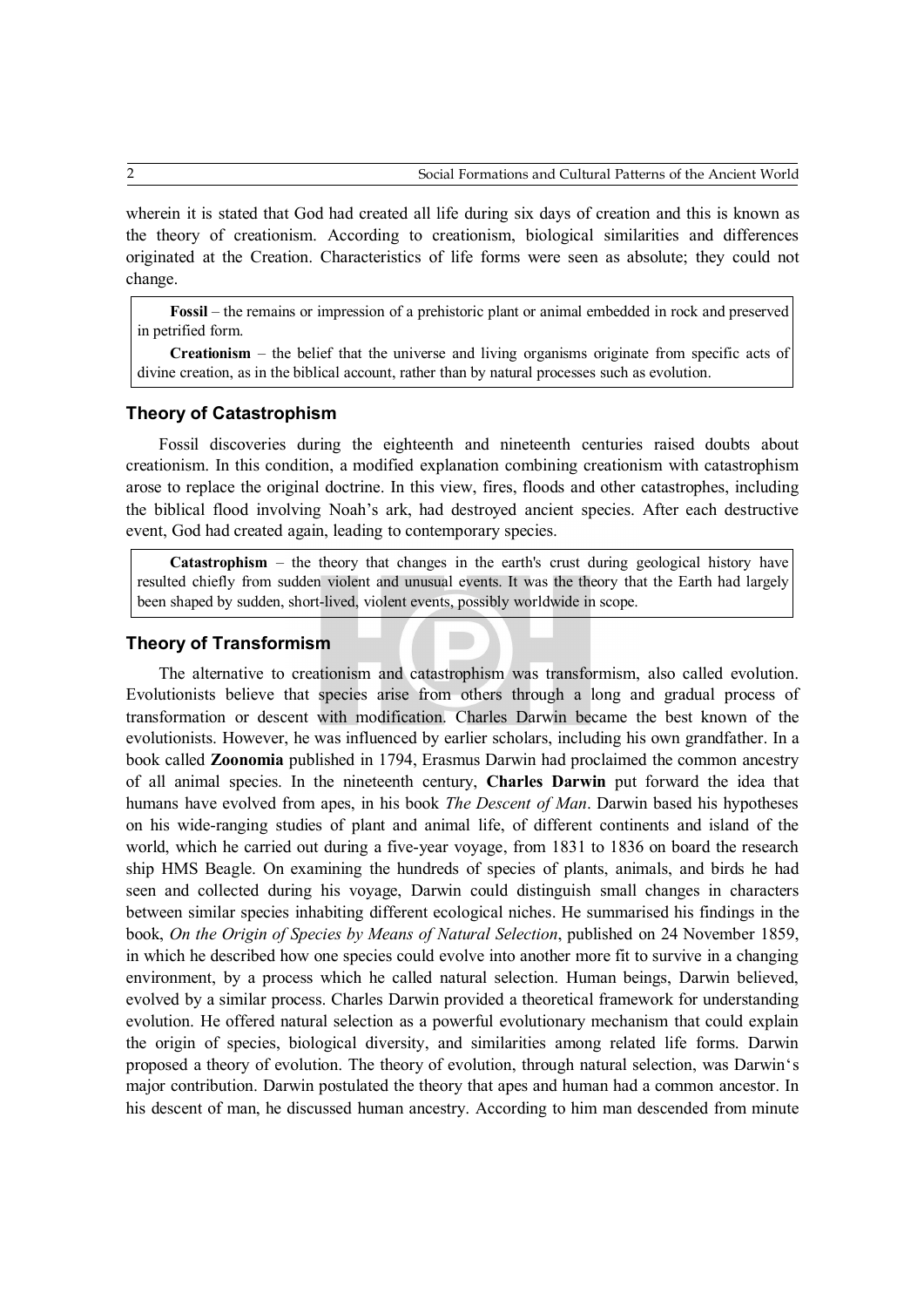wherein it is stated that God had created all life during six days of creation and this is known as the theory of creationism. According to creationism, biological similarities and differences originated at the Creation. Characteristics of life forms were seen as absolute; they could not change.

**Fossil** – the remains or impression of a prehistoric plant or animal embedded in rock and preserved in petrified form.

**Creationism** – the belief that the universe and living organisms originate from specific acts of divine creation, as in the biblical account, rather than by natural processes such as evolution.

#### **Theory of Catastrophism**

Fossil discoveries during the eighteenth and nineteenth centuries raised doubts about creationism. In this condition, a modified explanation combining creationism with catastrophism arose to replace the original doctrine. In this view, fires, floods and other catastrophes, including the biblical flood involving Noah's ark, had destroyed ancient species. After each destructive event, God had created again, leading to contemporary species.

**Catastrophism** – the theory that changes in the earth's crust during geological history have resulted chiefly from sudden violent and unusual events. It was the theory that the Earth had largely been shaped by sudden, short-lived, violent events, possibly worldwide in scope.

#### **Theory of Transformism**

The alternative to creationism and catastrophism was transformism, also called evolution. Evolutionists believe that species arise from others through a long and gradual process of transformation or descent with modification. Charles Darwin became the best known of the evolutionists. However, he was influenced by earlier scholars, including his own grandfather. In a book called **Zoonomia** published in 1794, Erasmus Darwin had proclaimed the common ancestry of all animal species. In the nineteenth century, **Charles Darwin** put forward the idea that humans have evolved from apes, in his book *The Descent of Man*. Darwin based his hypotheses on his wide-ranging studies of plant and animal life, of different continents and island of the world, which he carried out during a five-year voyage, from 1831 to 1836 on board the research ship HMS Beagle. On examining the hundreds of species of plants, animals, and birds he had seen and collected during his voyage, Darwin could distinguish small changes in characters between similar species inhabiting different ecological niches. He summarised his findings in the book, *On the Origin of Species by Means of Natural Selection*, published on 24 November 1859, in which he described how one species could evolve into another more fit to survive in a changing environment, by a process which he called natural selection. Human beings, Darwin believed, evolved by a similar process. Charles Darwin provided a theoretical framework for understanding evolution. He offered natural selection as a powerful evolutionary mechanism that could explain the origin of species, biological diversity, and similarities among related life forms. Darwin proposed a theory of evolution. The theory of evolution, through natural selection, was Darwin's major contribution. Darwin postulated the theory that apes and human had a common ancestor. In his descent of man, he discussed human ancestry. According to him man descended from minute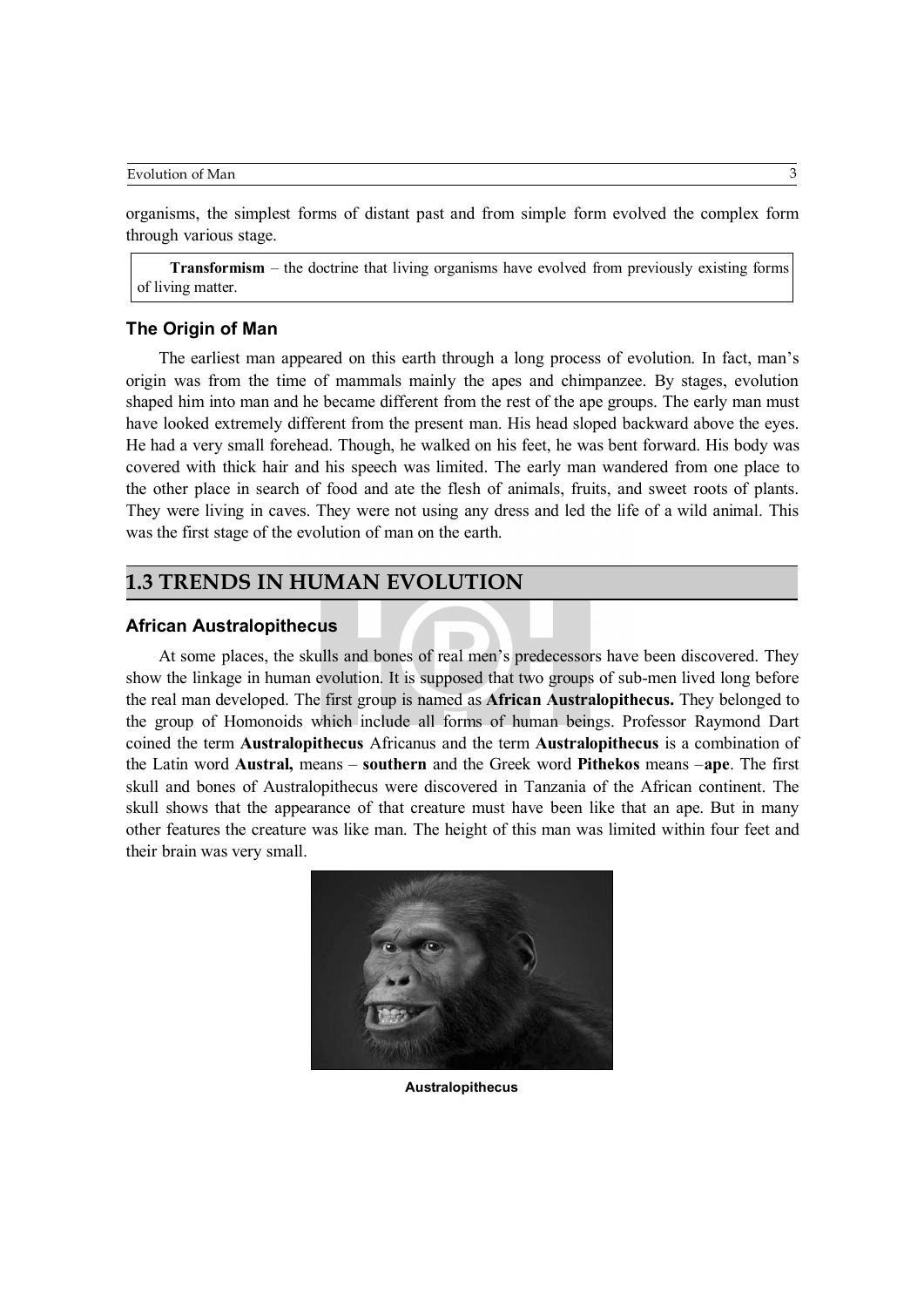Evolution of Man 3

organisms, the simplest forms of distant past and from simple form evolved the complex form through various stage.

**Transformism** – the doctrine that living organisms have evolved from previously existing forms of living matter.

#### **The Origin of Man**

The earliest man appeared on this earth through a long process of evolution. In fact, man's origin was from the time of mammals mainly the apes and chimpanzee. By stages, evolution shaped him into man and he became different from the rest of the ape groups. The early man must have looked extremely different from the present man. His head sloped backward above the eyes. He had a very small forehead. Though, he walked on his feet, he was bent forward. His body was covered with thick hair and his speech was limited. The early man wandered from one place to the other place in search of food and ate the flesh of animals, fruits, and sweet roots of plants. They were living in caves. They were not using any dress and led the life of a wild animal. This was the first stage of the evolution of man on the earth.

### **1.3 TRENDS IN HUMAN EVOLUTION**

#### **African Australopithecus**

At some places, the skulls and bones of real men's predecessors have been discovered. They show the linkage in human evolution. It is supposed that two groups of sub-men lived long before the real man developed. The first group is named as **African Australopithecus.** They belonged to the group of Homonoids which include all forms of human beings. Professor Raymond Dart coined the term **Australopithecus** Africanus and the term **Australopithecus** is a combination of the Latin word **Austral,** means – **southern** and the Greek word **Pithekos** means –**ape**. The first skull and bones of Australopithecus were discovered in Tanzania of the African continent. The skull shows that the appearance of that creature must have been like that an ape. But in many other features the creature was like man. The height of this man was limited within four feet and their brain was very small.



**Australopithecus**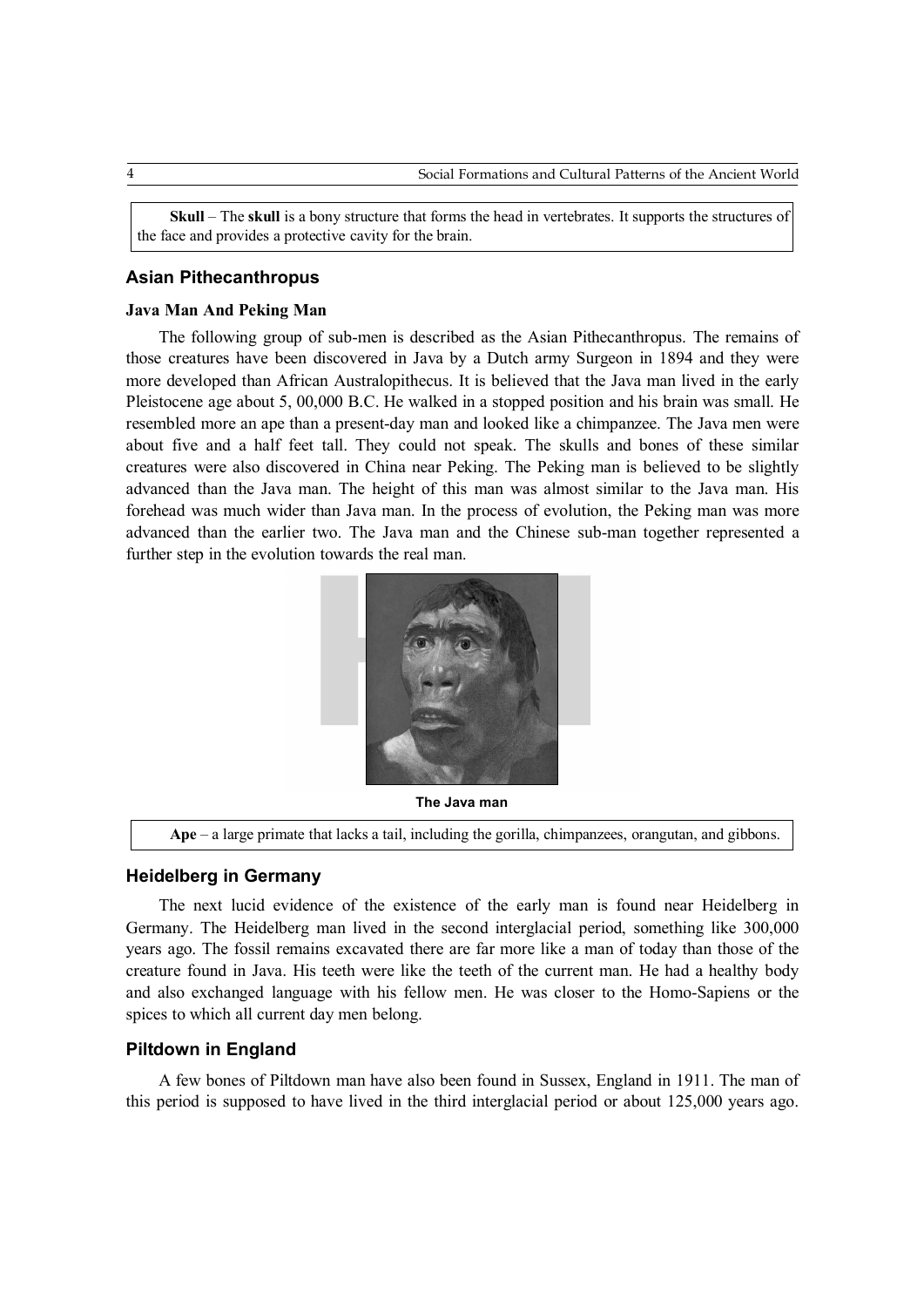**Skull** – The **skull** is a bony structure that forms the head in vertebrates. It supports the structures of the face and provides a protective cavity for the brain.

#### **Asian Pithecanthropus**

#### **Java Man And Peking Man**

The following group of sub-men is described as the Asian Pithecanthropus. The remains of those creatures have been discovered in Java by a Dutch army Surgeon in 1894 and they were more developed than African Australopithecus. It is believed that the Java man lived in the early Pleistocene age about 5, 00,000 B.C. He walked in a stopped position and his brain was small. He resembled more an ape than a present-day man and looked like a chimpanzee. The Java men were about five and a half feet tall. They could not speak. The skulls and bones of these similar creatures were also discovered in China near Peking. The Peking man is believed to be slightly advanced than the Java man. The height of this man was almost similar to the Java man. His forehead was much wider than Java man. In the process of evolution, the Peking man was more advanced than the earlier two. The Java man and the Chinese sub-man together represented a further step in the evolution towards the real man.



**The Java man**

**Ape** – a large primate that lacks a tail, including the gorilla, chimpanzees, orangutan, and gibbons.

#### **Heidelberg in Germany**

The next lucid evidence of the existence of the early man is found near Heidelberg in Germany. The Heidelberg man lived in the second interglacial period, something like 300,000 years ago. The fossil remains excavated there are far more like a man of today than those of the creature found in Java. His teeth were like the teeth of the current man. He had a healthy body and also exchanged language with his fellow men. He was closer to the Homo-Sapiens or the spices to which all current day men belong.

#### **Piltdown in England**

A few bones of Piltdown man have also been found in Sussex, England in 1911. The man of this period is supposed to have lived in the third interglacial period or about 125,000 years ago.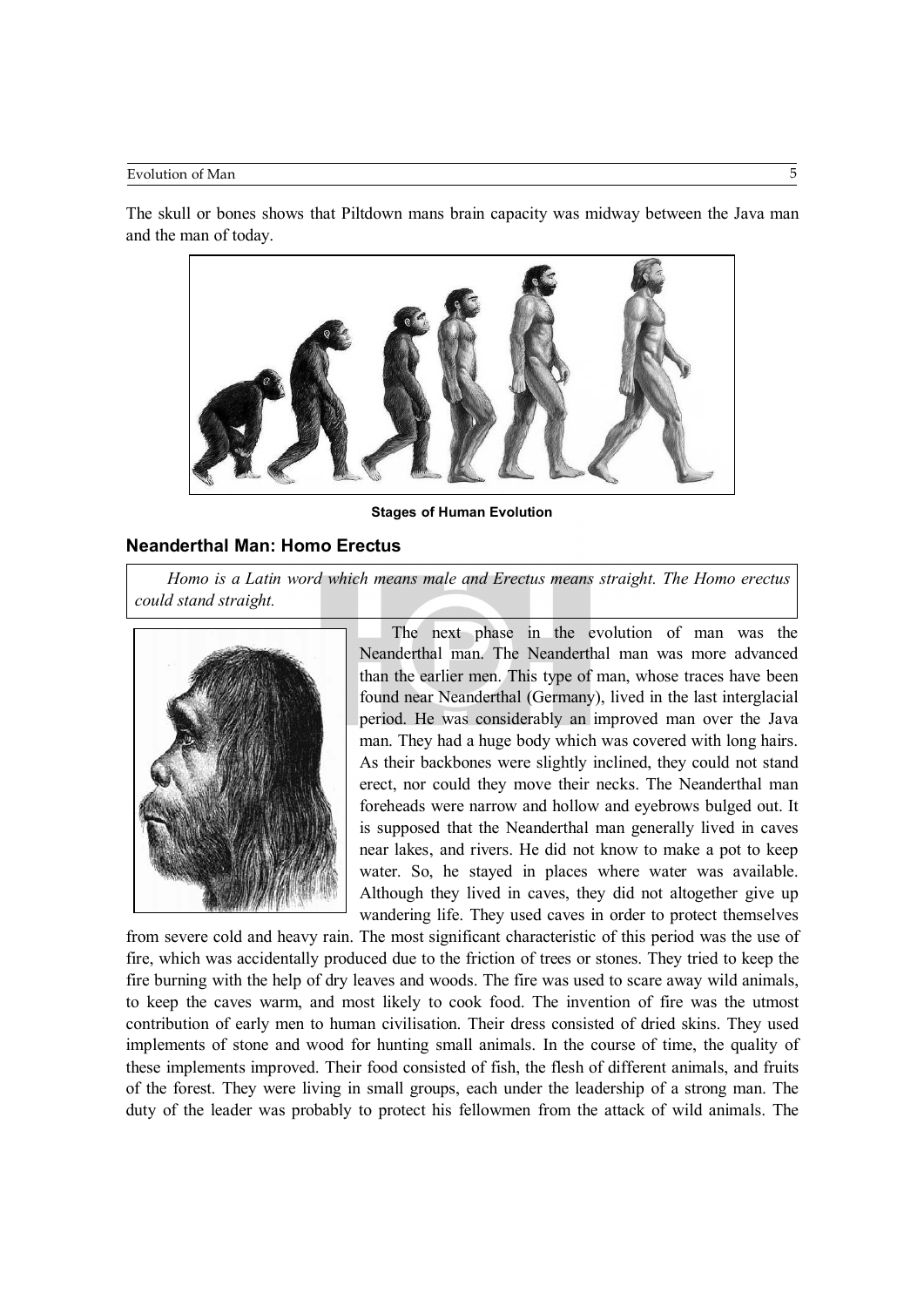#### Evolution of Man 5

The skull or bones shows that Piltdown mans brain capacity was midway between the Java man and the man of today.



**Stages of Human Evolution**

#### **Neanderthal Man: Homo Erectus**

*Homo is a Latin word which means male and Erectus means straight. The Homo erectus could stand straight.*



The next phase in the evolution of man was the Neanderthal man. The Neanderthal man was more advanced than the earlier men. This type of man, whose traces have been found near Neanderthal (Germany), lived in the last interglacial period. He was considerably an improved man over the Java man. They had a huge body which was covered with long hairs. As their backbones were slightly inclined, they could not stand erect, nor could they move their necks. The Neanderthal man foreheads were narrow and hollow and eyebrows bulged out. It is supposed that the Neanderthal man generally lived in caves near lakes, and rivers. He did not know to make a pot to keep water. So, he stayed in places where water was available. Although they lived in caves, they did not altogether give up wandering life. They used caves in order to protect themselves

from severe cold and heavy rain. The most significant characteristic of this period was the use of fire, which was accidentally produced due to the friction of trees or stones. They tried to keep the fire burning with the help of dry leaves and woods. The fire was used to scare away wild animals, to keep the caves warm, and most likely to cook food. The invention of fire was the utmost contribution of early men to human civilisation. Their dress consisted of dried skins. They used implements of stone and wood for hunting small animals. In the course of time, the quality of these implements improved. Their food consisted of fish, the flesh of different animals, and fruits of the forest. They were living in small groups, each under the leadership of a strong man. The duty of the leader was probably to protect his fellowmen from the attack of wild animals. The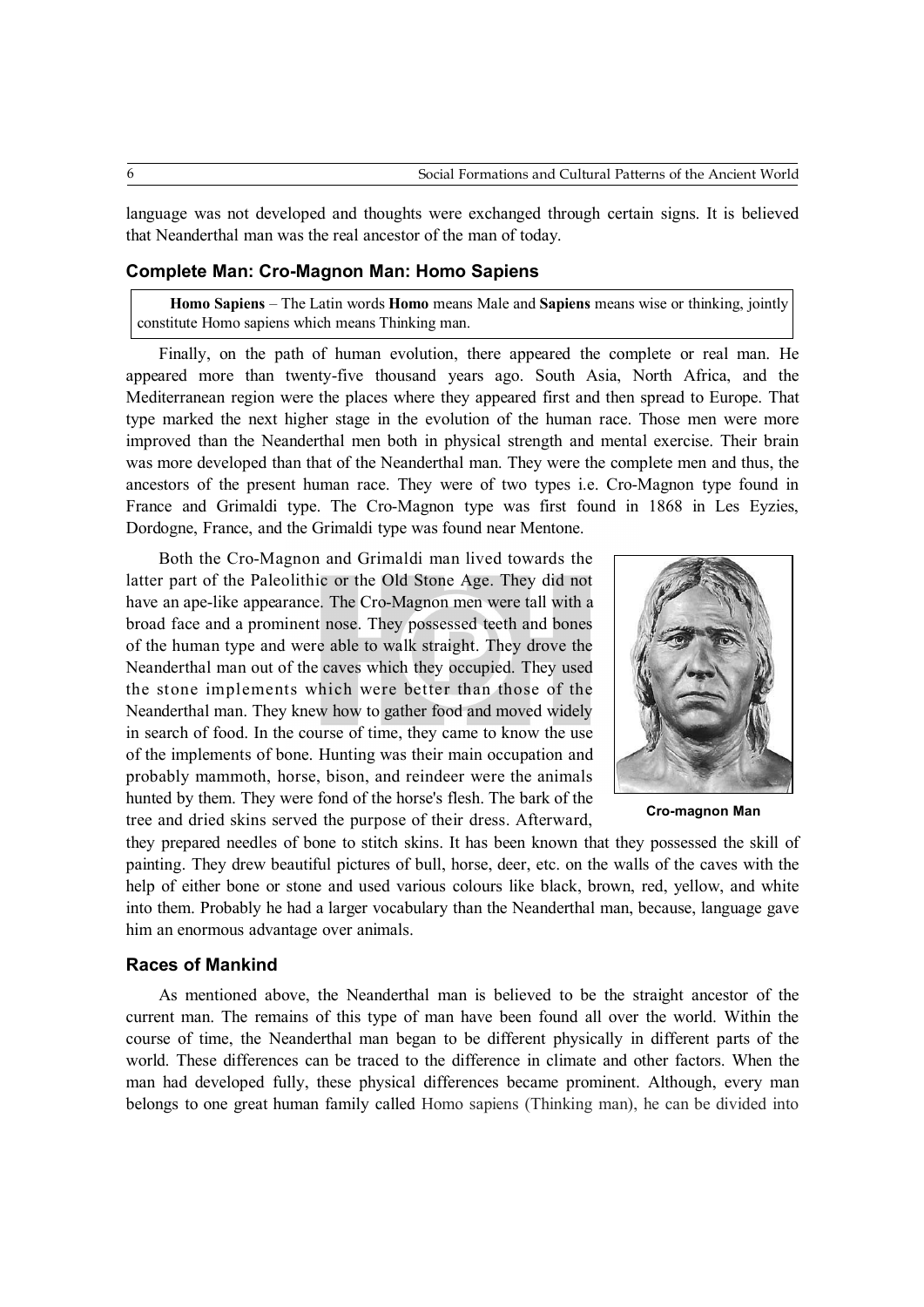language was not developed and thoughts were exchanged through certain signs. It is believed that Neanderthal man was the real ancestor of the man of today.

#### **Complete Man: Cro-Magnon Man: Homo Sapiens**

**Homo Sapiens** – The Latin words **Homo** means Male and **Sapiens** means wise or thinking, jointly constitute Homo sapiens which means Thinking man.

Finally, on the path of human evolution, there appeared the complete or real man. He appeared more than twenty-five thousand years ago. South Asia, North Africa, and the Mediterranean region were the places where they appeared first and then spread to Europe. That type marked the next higher stage in the evolution of the human race. Those men were more improved than the Neanderthal men both in physical strength and mental exercise. Their brain was more developed than that of the Neanderthal man. They were the complete men and thus, the ancestors of the present human race. They were of two types i.e. Cro-Magnon type found in France and Grimaldi type. The Cro-Magnon type was first found in 1868 in Les Eyzies, Dordogne, France, and the Grimaldi type was found near Mentone.

Both the Cro-Magnon and Grimaldi man lived towards the latter part of the Paleolithic or the Old Stone Age. They did not have an ape-like appearance. The Cro-Magnon men were tall with a broad face and a prominent nose. They possessed teeth and bones of the human type and were able to walk straight. They drove the Neanderthal man out of the caves which they occupied. They used the stone implements which were better than those of the Neanderthal man. They knew how to gather food and moved widely in search of food. In the course of time, they came to know the use of the implements of bone. Hunting was their main occupation and probably mammoth, horse, bison, and reindeer were the animals hunted by them. They were fond of the horse's flesh. The bark of the tree and dried skins served the purpose of their dress. Afterward, **Cro-magnon Man**



they prepared needles of bone to stitch skins. It has been known that they possessed the skill of painting. They drew beautiful pictures of bull, horse, deer, etc. on the walls of the caves with the help of either bone or stone and used various colours like black, brown, red, yellow, and white into them. Probably he had a larger vocabulary than the Neanderthal man, because, language gave him an enormous advantage over animals.

#### **Races of Mankind**

As mentioned above, the Neanderthal man is believed to be the straight ancestor of the current man. The remains of this type of man have been found all over the world. Within the course of time, the Neanderthal man began to be different physically in different parts of the world. These differences can be traced to the difference in climate and other factors. When the man had developed fully, these physical differences became prominent. Although, every man belongs to one great human family called Homo sapiens (Thinking man), he can be divided into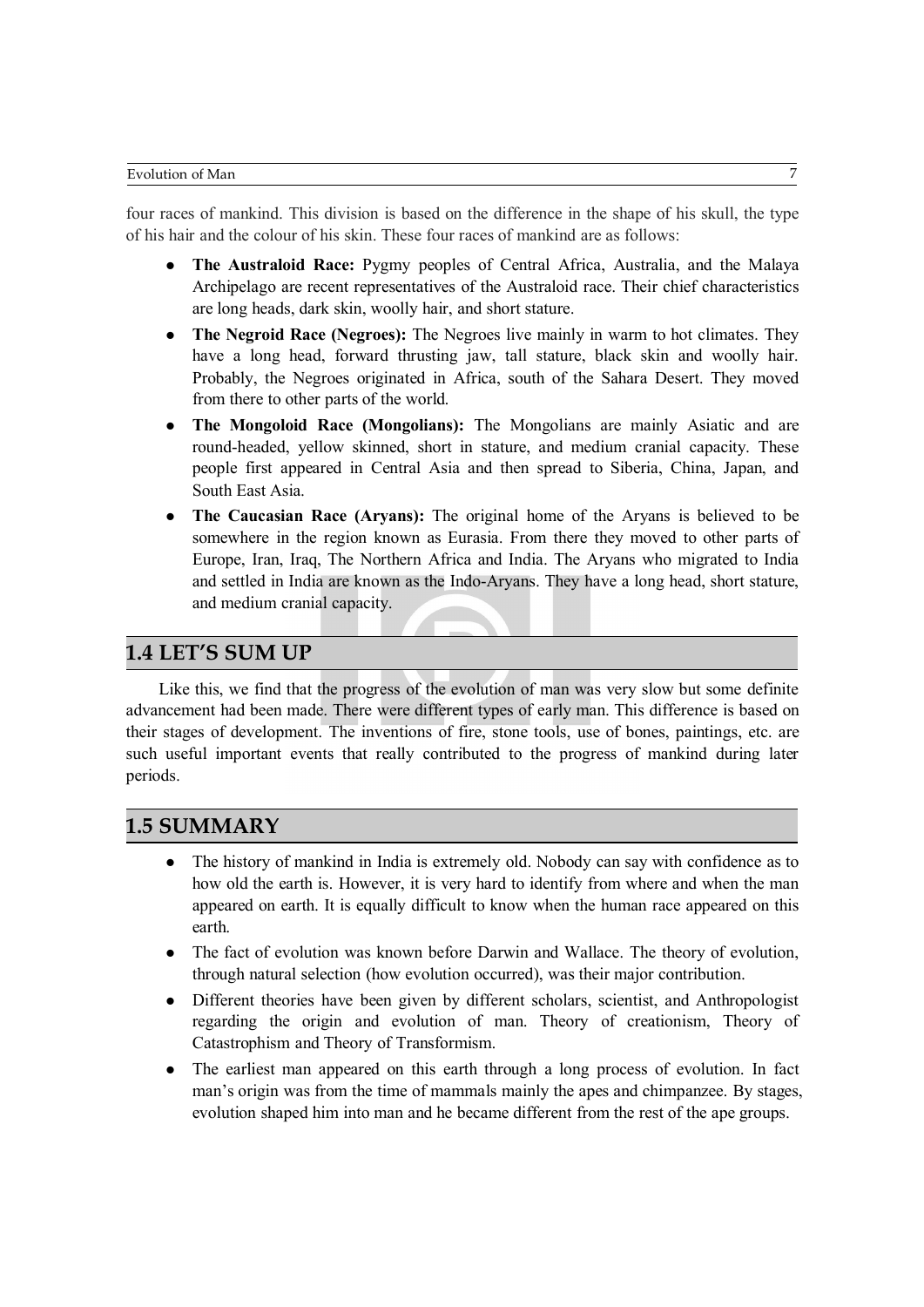four races of mankind. This division is based on the difference in the shape of his skull, the type of his hair and the colour of his skin. These four races of mankind are as follows:

- **The Australoid Race:** Pygmy peoples of Central Africa, Australia, and the Malaya Archipelago are recent representatives of the Australoid race. Their chief characteristics are long heads, dark skin, woolly hair, and short stature.
- **The Negroid Race (Negroes):** The Negroes live mainly in warm to hot climates. They have a long head, forward thrusting jaw, tall stature, black skin and woolly hair. Probably, the Negroes originated in Africa, south of the Sahara Desert. They moved from there to other parts of the world.
- **The Mongoloid Race (Mongolians):** The Mongolians are mainly Asiatic and are round-headed, yellow skinned, short in stature, and medium cranial capacity. These people first appeared in Central Asia and then spread to Siberia, China, Japan, and South East Asia.
- **The Caucasian Race (Aryans):** The original home of the Aryans is believed to be somewhere in the region known as Eurasia. From there they moved to other parts of Europe, Iran, Iraq, The Northern Africa and India. The Aryans who migrated to India and settled in India are known as the Indo-Aryans. They have a long head, short stature, and medium cranial capacity.

### **1.4 LET'S SUM UP**

Like this, we find that the progress of the evolution of man was very slow but some definite advancement had been made. There were different types of early man. This difference is based on their stages of development. The inventions of fire, stone tools, use of bones, paintings, etc. are such useful important events that really contributed to the progress of mankind during later periods.

### **1.5 SUMMARY**

- The history of mankind in India is extremely old. Nobody can say with confidence as to how old the earth is. However, it is very hard to identify from where and when the man appeared on earth. It is equally difficult to know when the human race appeared on this earth.
- The fact of evolution was known before Darwin and Wallace. The theory of evolution, through natural selection (how evolution occurred), was their major contribution.
- Different theories have been given by different scholars, scientist, and Anthropologist regarding the origin and evolution of man. Theory of creationism, Theory of Catastrophism and Theory of Transformism.
- The earliest man appeared on this earth through a long process of evolution. In fact man's origin was from the time of mammals mainly the apes and chimpanzee. By stages, evolution shaped him into man and he became different from the rest of the ape groups.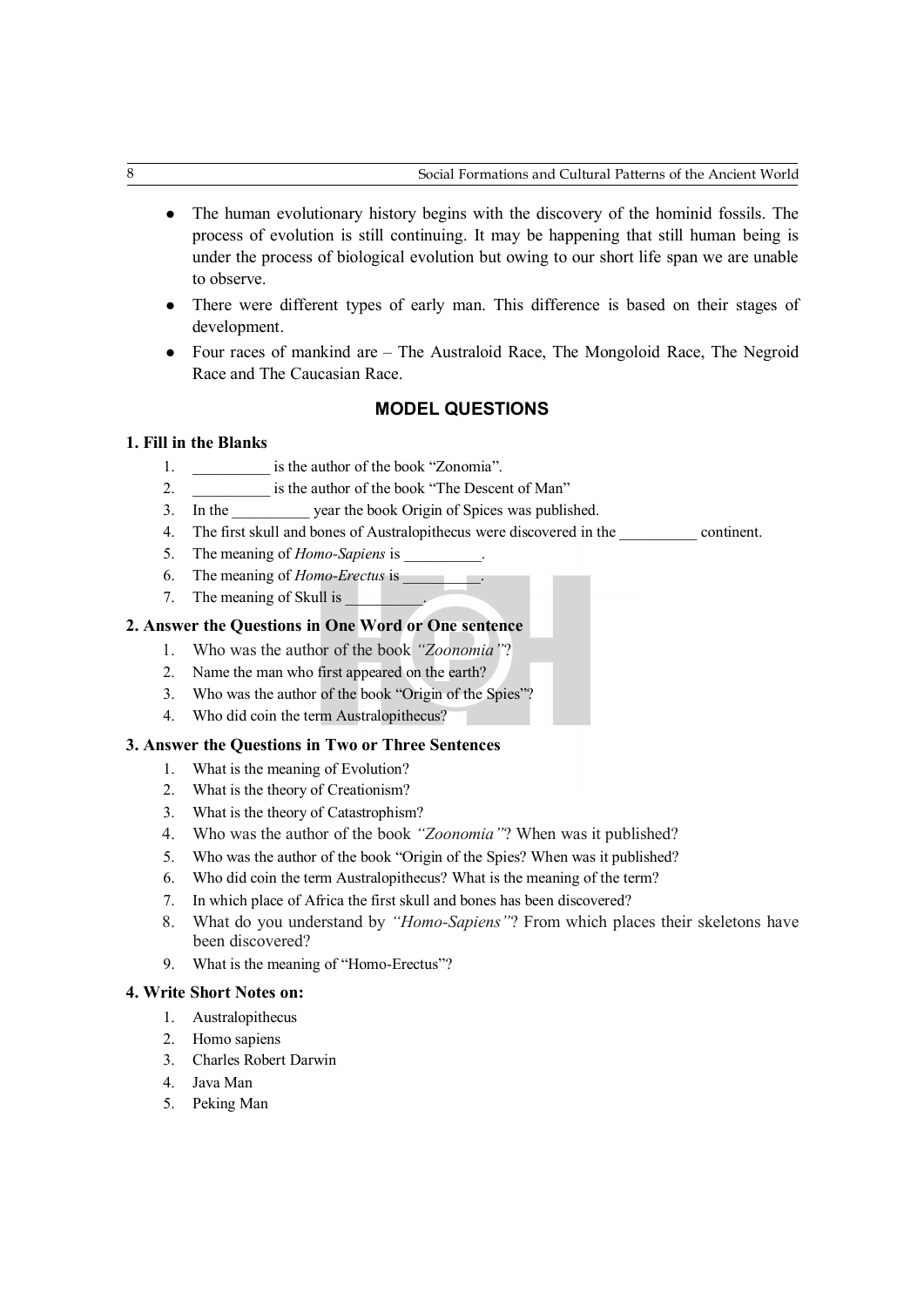- The human evolutionary history begins with the discovery of the hominid fossils. The process of evolution is still continuing. It may be happening that still human being is under the process of biological evolution but owing to our short life span we are unable to observe.
- There were different types of early man. This difference is based on their stages of development.
- Four races of mankind are The Australoid Race, The Mongoloid Race, The Negroid Race and The Caucasian Race.

#### **MODEL QUESTIONS**

#### **1. Fill in the Blanks**

- 1. **is the author of the book "Zonomia"**.
- 2. \_\_\_\_\_\_\_\_\_\_\_\_\_\_ is the author of the book "The Descent of Man"
- 3. In the vear the book Origin of Spices was published.
- 4. The first skull and bones of Australopithecus were discovered in the continent.
- 5. The meaning of *Homo-Sapiens* is
- 6. The meaning of *Homo-Erectus* is \_\_\_\_\_\_\_\_\_\_.
- 7. The meaning of Skull is

#### **2. Answer the Questions in One Word or One sentence**

- 1. Who was the author of the book *"Zoonomia"*?
- 2. Name the man who first appeared on the earth?
- 3. Who was the author of the book "Origin of the Spies"?
- 4. Who did coin the term Australopithecus?

#### **3. Answer the Questions in Two or Three Sentences**

- 1. What is the meaning of Evolution?
- 2. What is the theory of Creationism?
- 3. What is the theory of Catastrophism?
- 4. Who was the author of the book *"Zoonomia"*? When was it published?
- 5. Who was the author of the book "Origin of the Spies? When was it published?
- 6. Who did coin the term Australopithecus? What is the meaning of the term?
- 7. In which place of Africa the first skull and bones has been discovered?
- 8. What do you understand by *"Homo-Sapiens"*? From which places their skeletons have been discovered?
- 9. What is the meaning of "Homo-Erectus"?

#### **4. Write Short Notes on:**

- 1. Australopithecus
- 2. Homo sapiens
- 3. Charles Robert Darwin
- 4. Java Man
- 5. Peking Man